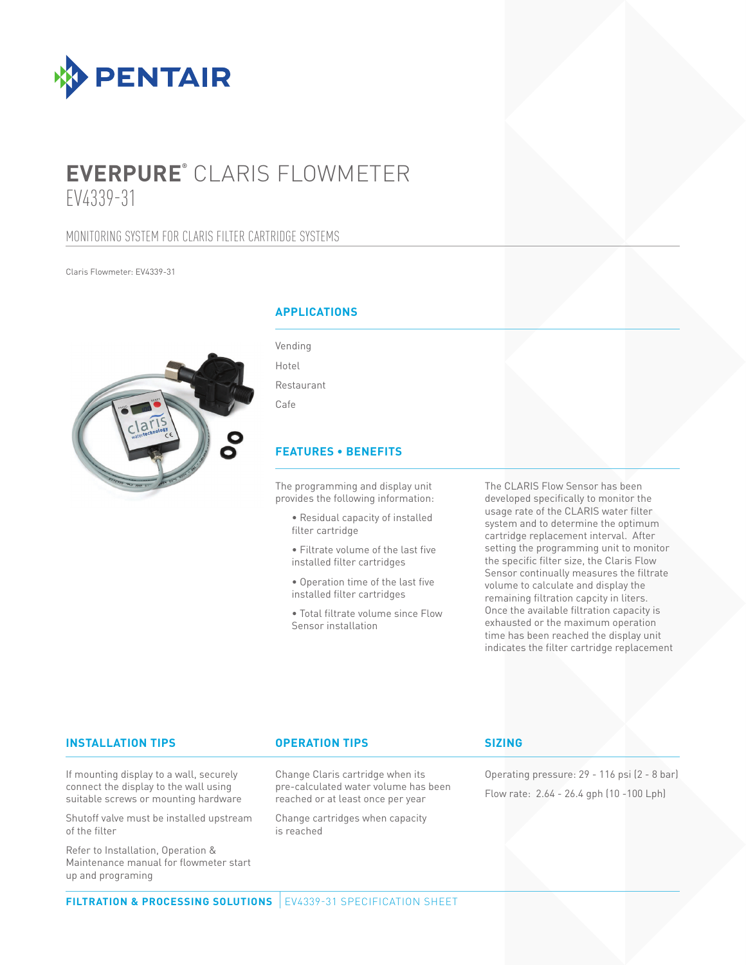

# **EVERPURE®** CLARIS FLOWMETER EV4339-31

# MONITORING SYSTEM FOR CLARIS FILTER CARTRIDGE SYSTEMS

Claris Flowmeter: EV4339-31



# **APPLICATIONS**

| Vending    |  |
|------------|--|
| Hotel      |  |
| Restaurant |  |
| Cafe       |  |

# **FEATURES • BENEFITS**

The programming and display unit provides the following information:

- Residual capacity of installed filter cartridge
- Filtrate volume of the last five installed filter cartridges
- Operation time of the last five installed filter cartridges
- Total filtrate volume since Flow Sensor installation

The CLARIS Flow Sensor has been developed specifically to monitor the usage rate of the CLARIS water filter system and to determine the optimum cartridge replacement interval. After setting the programming unit to monitor the specific filter size, the Claris Flow Sensor continually measures the filtrate volume to calculate and display the remaining filtration capcity in liters. Once the available filtration capacity is exhausted or the maximum operation time has been reached the display unit indicates the filter cartridge replacement

### **INSTALLATION TIPS OPERATION TIPS**

If mounting display to a wall, securely connect the display to the wall using suitable screws or mounting hardware

Shutoff valve must be installed upstream of the filter

Refer to Installation, Operation & Maintenance manual for flowmeter start up and programing

Change Claris cartridge when its pre-calculated water volume has been reached or at least once per year

Change cartridges when capacity is reached

### **SIZING**

Operating pressure: 29 - 116 psi (2 - 8 bar) Flow rate: 2.64 - 26.4 gph (10 -100 Lph)